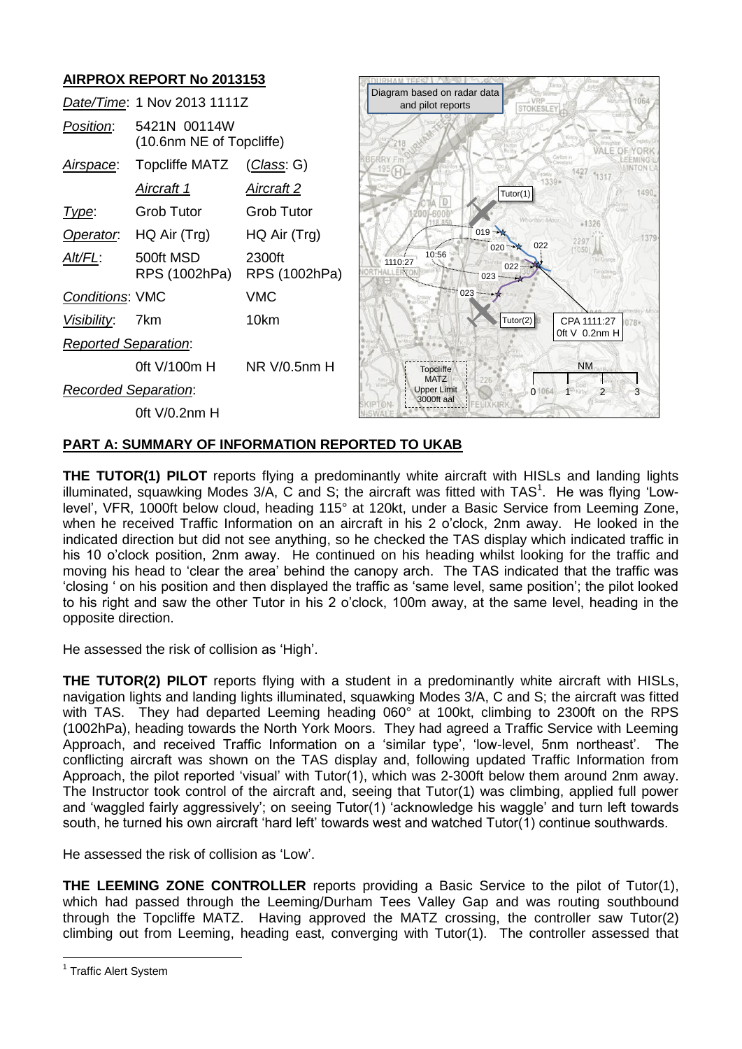# **AIRPROX REPORT No 2013153**

|                             | Date/Time: 1 Nov 2013 1111Z              |                         | Diagr |
|-----------------------------|------------------------------------------|-------------------------|-------|
| Position:                   | 5421N 00114W<br>(10.6nm NE of Topcliffe) |                         |       |
| Airspace:                   | Topcliffe MATZ                           | ( <i>Class</i> : G)     |       |
|                             | Aircraft 1                               | Aircraft 2              |       |
| Type:                       | Grob Tutor                               | <b>Grob Tutor</b>       |       |
|                             | Operator. HQ Air (Trg)                   | HQ Air (Trg)            |       |
| Alt/FL:                     | 500ft MSD<br>RPS (1002hPa)               | 2300ft<br>RPS (1002hPa) |       |
| <b>Conditions: VMC</b>      |                                          | <b>VMC</b>              |       |
| Visibility: 7km             |                                          | 10km                    |       |
| <b>Reported Separation:</b> |                                          |                         |       |
|                             | 0ft V/100m H NR V/0.5nm H                |                         |       |
| <b>Recorded Separation:</b> |                                          |                         |       |
|                             | 0ft V/0.2nm H                            |                         |       |



## **PART A: SUMMARY OF INFORMATION REPORTED TO UKAB**

**THE TUTOR(1) PILOT** reports flying a predominantly white aircraft with HISLs and landing lights illuminated, squawking Modes  $3/A$ , C and S; the aircraft was fitted with TAS<sup>1</sup>. He was flying 'Lowlevel', VFR, 1000ft below cloud, heading 115° at 120kt, under a Basic Service from Leeming Zone, when he received Traffic Information on an aircraft in his 2 o'clock, 2nm away. He looked in the indicated direction but did not see anything, so he checked the TAS display which indicated traffic in his 10 o'clock position, 2nm away. He continued on his heading whilst looking for the traffic and moving his head to 'clear the area' behind the canopy arch. The TAS indicated that the traffic was 'closing ' on his position and then displayed the traffic as 'same level, same position'; the pilot looked to his right and saw the other Tutor in his 2 o'clock, 100m away, at the same level, heading in the opposite direction.

He assessed the risk of collision as 'High'.

**THE TUTOR(2) PILOT** reports flying with a student in a predominantly white aircraft with HISLs, navigation lights and landing lights illuminated, squawking Modes 3/A, C and S; the aircraft was fitted with TAS. They had departed Leeming heading 060° at 100kt, climbing to 2300ft on the RPS (1002hPa), heading towards the North York Moors. They had agreed a Traffic Service with Leeming Approach, and received Traffic Information on a 'similar type', 'low-level, 5nm northeast'. The conflicting aircraft was shown on the TAS display and, following updated Traffic Information from Approach, the pilot reported 'visual' with Tutor(1), which was 2-300ft below them around 2nm away. The Instructor took control of the aircraft and, seeing that Tutor(1) was climbing, applied full power and 'waggled fairly aggressively'; on seeing Tutor(1) 'acknowledge his waggle' and turn left towards south, he turned his own aircraft 'hard left' towards west and watched Tutor(1) continue southwards.

He assessed the risk of collision as 'Low'.

**THE LEEMING ZONE CONTROLLER** reports providing a Basic Service to the pilot of Tutor(1), which had passed through the Leeming/Durham Tees Valley Gap and was routing southbound through the Topcliffe MATZ. Having approved the MATZ crossing, the controller saw Tutor(2) climbing out from Leeming, heading east, converging with Tutor(1). The controller assessed that

 $\overline{a}$ 

<sup>&</sup>lt;sup>1</sup> Traffic Alert System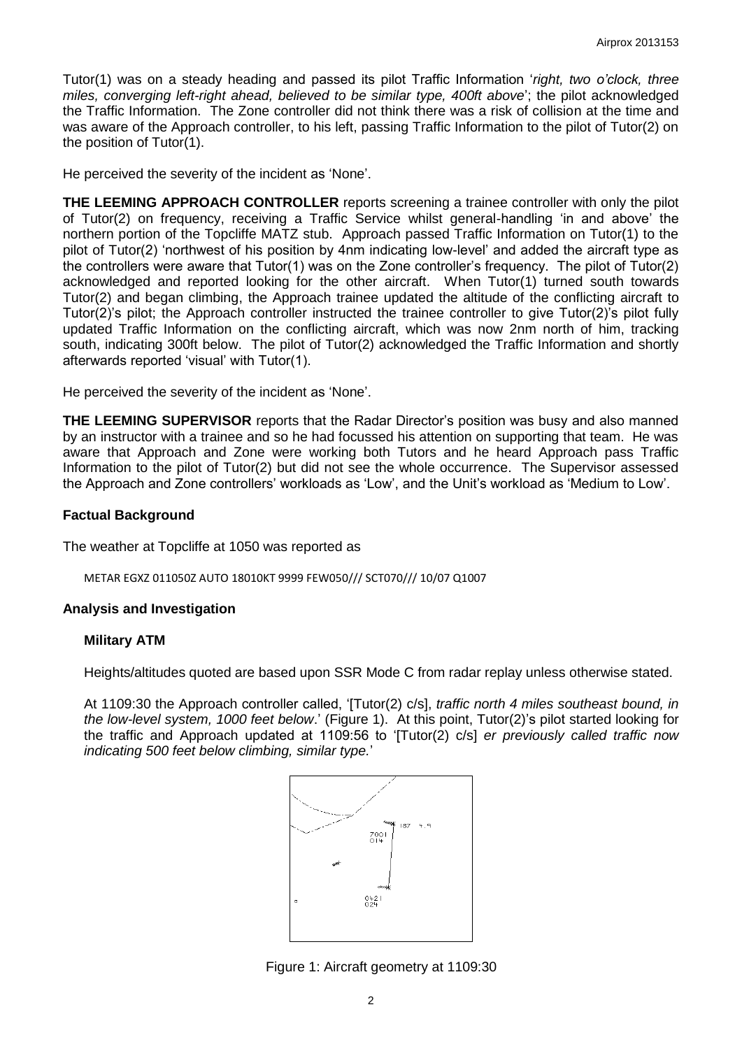Tutor(1) was on a steady heading and passed its pilot Traffic Information '*right, two o'clock, three miles, converging left-right ahead, believed to be similar type, 400ft above*'; the pilot acknowledged the Traffic Information. The Zone controller did not think there was a risk of collision at the time and was aware of the Approach controller, to his left, passing Traffic Information to the pilot of Tutor(2) on the position of Tutor(1).

He perceived the severity of the incident as 'None'.

**THE LEEMING APPROACH CONTROLLER** reports screening a trainee controller with only the pilot of Tutor(2) on frequency, receiving a Traffic Service whilst general-handling 'in and above' the northern portion of the Topcliffe MATZ stub. Approach passed Traffic Information on Tutor(1) to the pilot of Tutor(2) 'northwest of his position by 4nm indicating low-level' and added the aircraft type as the controllers were aware that Tutor(1) was on the Zone controller's frequency. The pilot of Tutor(2) acknowledged and reported looking for the other aircraft. When Tutor(1) turned south towards Tutor(2) and began climbing, the Approach trainee updated the altitude of the conflicting aircraft to Tutor(2)'s pilot; the Approach controller instructed the trainee controller to give Tutor(2)'s pilot fully updated Traffic Information on the conflicting aircraft, which was now 2nm north of him, tracking south, indicating 300ft below. The pilot of Tutor(2) acknowledged the Traffic Information and shortly afterwards reported 'visual' with Tutor(1).

He perceived the severity of the incident as 'None'.

**THE LEEMING SUPERVISOR** reports that the Radar Director's position was busy and also manned by an instructor with a trainee and so he had focussed his attention on supporting that team. He was aware that Approach and Zone were working both Tutors and he heard Approach pass Traffic Information to the pilot of Tutor(2) but did not see the whole occurrence. The Supervisor assessed the Approach and Zone controllers' workloads as 'Low', and the Unit's workload as 'Medium to Low'.

### **Factual Background**

The weather at Topcliffe at 1050 was reported as

METAR EGXZ 011050Z AUTO 18010KT 9999 FEW050/// SCT070/// 10/07 Q1007

### **Analysis and Investigation**

### **Military ATM**

Heights/altitudes quoted are based upon SSR Mode C from radar replay unless otherwise stated.

At 1109:30 the Approach controller called, '[Tutor(2) c/s], *traffic north 4 miles southeast bound, in the low-level system, 1000 feet below*.' (Figure 1). At this point, Tutor(2)'s pilot started looking for the traffic and Approach updated at 1109:56 to '[Tutor(2) c/s] *er previously called traffic now indicating 500 feet below climbing, similar type.*'



Figure 1: Aircraft geometry at 1109:30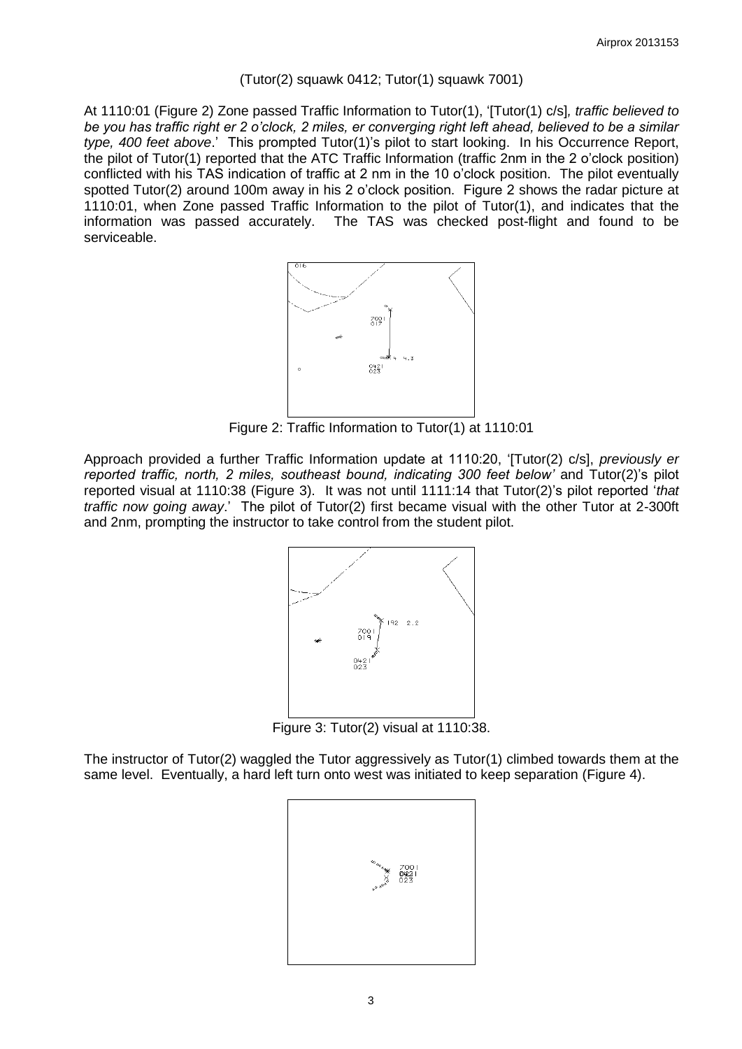### $(Tutor(2)$  squawk 0412; Tutor $(1)$  squawk 7001)

At 1110:01 (Figure 2) Zone passed Traffic Information to Tutor(1), '[Tutor(1) c/s]*, traffic believed to be you has traffic right er 2 o'clock, 2 miles, er converging right left ahead, believed to be a similar type, 400 feet above*.' This prompted Tutor(1)'s pilot to start looking. In his Occurrence Report, the pilot of Tutor(1) reported that the ATC Traffic Information (traffic 2nm in the 2 o'clock position) conflicted with his TAS indication of traffic at 2 nm in the 10 o'clock position. The pilot eventually spotted Tutor(2) around 100m away in his 2 o'clock position. Figure 2 shows the radar picture at 1110:01, when Zone passed Traffic Information to the pilot of Tutor(1), and indicates that the information was passed accurately. The TAS was checked post-flight and found to be serviceable.



Figure 2: Traffic Information to Tutor(1) at 1110:01

Approach provided a further Traffic Information update at 1110:20, '[Tutor(2) c/s], *previously er*  reported traffic, north, 2 miles, southeast bound, indicating 300 feet below' and Tutor(2)'s pilot reported visual at 1110:38 (Figure 3). It was not until 1111:14 that Tutor(2)'s pilot reported '*that traffic now going away*.' The pilot of Tutor(2) first became visual with the other Tutor at 2-300ft and 2nm, prompting the instructor to take control from the student pilot.



Figure 3: Tutor(2) visual at 1110:38.

The instructor of Tutor(2) waggled the Tutor aggressively as Tutor(1) climbed towards them at the same level. Eventually, a hard left turn onto west was initiated to keep separation (Figure 4).

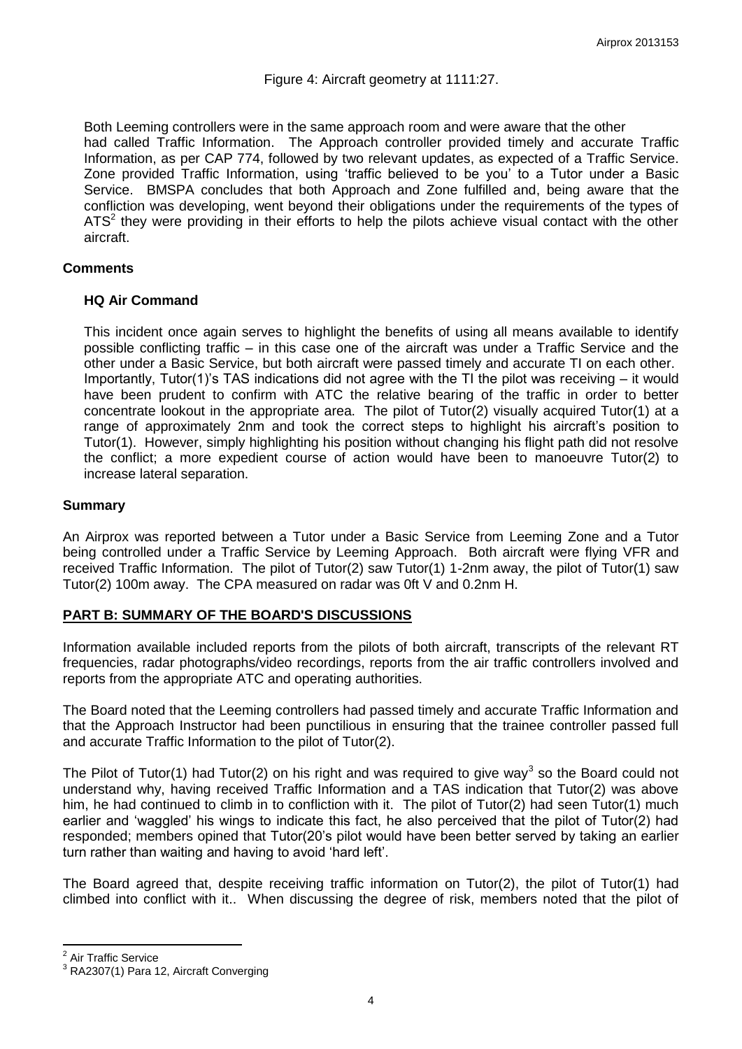# Figure 4: Aircraft geometry at 1111:27.

Both Leeming controllers were in the same approach room and were aware that the other had called Traffic Information. The Approach controller provided timely and accurate Traffic Information, as per CAP 774, followed by two relevant updates, as expected of a Traffic Service. Zone provided Traffic Information, using 'traffic believed to be you' to a Tutor under a Basic Service. BMSPA concludes that both Approach and Zone fulfilled and, being aware that the confliction was developing, went beyond their obligations under the requirements of the types of  $ATS<sup>2</sup>$  they were providing in their efforts to help the pilots achieve visual contact with the other aircraft.

## **Comments**

## **HQ Air Command**

This incident once again serves to highlight the benefits of using all means available to identify possible conflicting traffic – in this case one of the aircraft was under a Traffic Service and the other under a Basic Service, but both aircraft were passed timely and accurate TI on each other. Importantly, Tutor(1)'s TAS indications did not agree with the TI the pilot was receiving – it would have been prudent to confirm with ATC the relative bearing of the traffic in order to better concentrate lookout in the appropriate area. The pilot of Tutor(2) visually acquired Tutor(1) at a range of approximately 2nm and took the correct steps to highlight his aircraft's position to Tutor(1). However, simply highlighting his position without changing his flight path did not resolve the conflict; a more expedient course of action would have been to manoeuvre Tutor(2) to increase lateral separation.

## **Summary**

An Airprox was reported between a Tutor under a Basic Service from Leeming Zone and a Tutor being controlled under a Traffic Service by Leeming Approach. Both aircraft were flying VFR and received Traffic Information. The pilot of Tutor(2) saw Tutor(1) 1-2nm away, the pilot of Tutor(1) saw Tutor(2) 100m away. The CPA measured on radar was 0ft V and 0.2nm H.

# **PART B: SUMMARY OF THE BOARD'S DISCUSSIONS**

Information available included reports from the pilots of both aircraft, transcripts of the relevant RT frequencies, radar photographs/video recordings, reports from the air traffic controllers involved and reports from the appropriate ATC and operating authorities.

The Board noted that the Leeming controllers had passed timely and accurate Traffic Information and that the Approach Instructor had been punctilious in ensuring that the trainee controller passed full and accurate Traffic Information to the pilot of Tutor(2).

The Pilot of Tutor(1) had Tutor(2) on his right and was required to give way<sup>3</sup> so the Board could not understand why, having received Traffic Information and a TAS indication that Tutor(2) was above him, he had continued to climb in to confliction with it. The pilot of Tutor(2) had seen Tutor(1) much earlier and 'waggled' his wings to indicate this fact, he also perceived that the pilot of Tutor(2) had responded; members opined that Tutor(20's pilot would have been better served by taking an earlier turn rather than waiting and having to avoid 'hard left'.

The Board agreed that, despite receiving traffic information on Tutor(2), the pilot of Tutor(1) had climbed into conflict with it.. When discussing the degree of risk, members noted that the pilot of

 $\overline{\phantom{a}}$ 

<sup>&</sup>lt;sup>2</sup> Air Traffic Service

<sup>&</sup>lt;sup>3</sup> RA2307(1) Para 12, Aircraft Converging